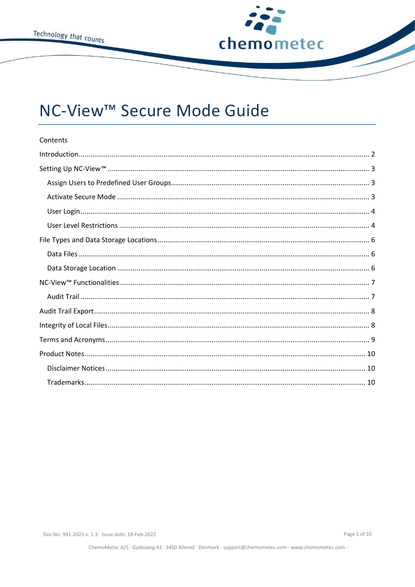

# NC-View<sup>™</sup> Secure Mode Guide

| Contents |
|----------|
|          |
|          |
|          |
|          |
|          |
|          |
|          |
|          |
|          |
|          |
|          |
|          |
|          |
|          |
|          |
|          |
|          |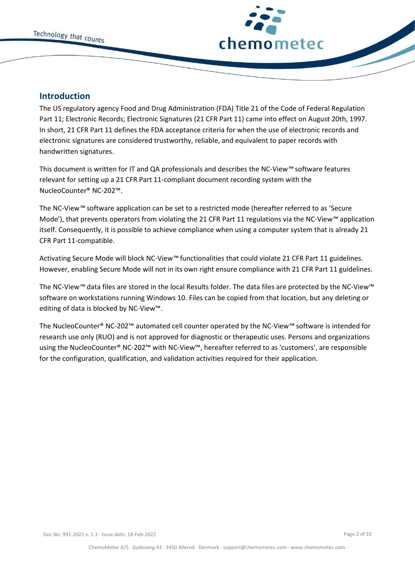

# <span id="page-1-0"></span>**Introduction**

The US regulatory agency Food and Drug Administration (FDA) Title 21 of the Code of Federal Regulation Part 11; Electronic Records; Electronic Signatures (21 CFR Part 11) came into effect on August 20th, 1997. In short, 21 CFR Part 11 defines the FDA acceptance criteria for when the use of electronic records and electronic signatures are considered trustworthy, reliable, and equivalent to paper records with handwritten signatures.

This document is written for IT and QA professionals and describes the NC-View*™* software features relevant for setting up a 21 CFR Part 11-compliant document recording system with the NucleoCounter® NC-202™.

The NC-View*™* software application can be set to a restricted mode (hereafter referred to as 'Secure Mode'), that prevents operators from violating the 21 CFR Part 11 regulations via the NC-View*™* application itself. Consequently, it is possible to achieve compliance when using a computer system that is already 21 CFR Part 11-compatible.

Activating Secure Mode will block NC-View*™* functionalities that could violate 21 CFR Part 11 guidelines. However, enabling Secure Mode will not in its own right ensure compliance with 21 CFR Part 11 guidelines.

The NC-View*™* data files are stored in the local Results folder. The data files are protected by the NC-View™ software on workstations running Windows 10. Files can be copied from that location, but any deleting or editing of data is blocked by NC-View™.

The NucleoCounter® NC-202™ automated cell counter operated by the NC-View*™* software is intended for research use only (RUO) and is not approved for diagnostic or therapeutic uses. Persons and organizations using the NucleoCounter® NC-202™ with NC-View™, hereafter referred to as 'customers', are responsible for the configuration, qualification, and validation activities required for their application.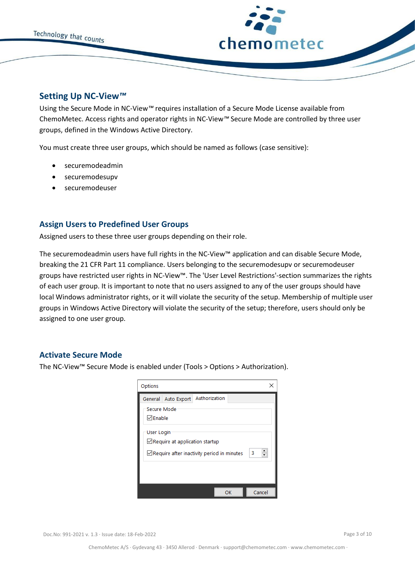

## <span id="page-2-0"></span>**Setting Up NC-View***™*

Using the Secure Mode in NC-View*™* requires installation of a Secure Mode License available from ChemoMetec. Access rights and operator rights in NC-View*™* Secure Mode are controlled by three user groups, defined in the Windows Active Directory.

You must create three user groups, which should be named as follows (case sensitive):

- securemodeadmin
- securemodesupv
- securemodeuser

# <span id="page-2-1"></span>**Assign Users to Predefined User Groups**

Assigned users to these three user groups depending on their role.

The securemodeadmin users have full rights in the NC-View™ application and can disable Secure Mode, breaking the 21 CFR Part 11 compliance. Users belonging to the securemodesupv or securemodeuser groups have restricted user rights in NC-View™. The 'User Level Restrictions'-section summarizes the rights of each user group. It is important to note that no users assigned to any of the user groups should have local Windows administrator rights, or it will violate the security of the setup. Membership of multiple user groups in Windows Active Directory will violate the security of the setup; therefore, users should only be assigned to one user group.

## <span id="page-2-2"></span>**Activate Secure Mode**

The NC-View™ Secure Mode is enabled under (Tools > Options > Authorization).

| Options                                                                                                         |             |
|-----------------------------------------------------------------------------------------------------------------|-------------|
| Authorization<br>General<br>Auto Export<br>Secure Mode<br>$\triangledown$ Enable                                |             |
| <b>User Login</b><br>$\Box$ Require at application startup<br>$\Box$ Require after inactivity period in minutes | $\div$<br>3 |
|                                                                                                                 |             |
| OK                                                                                                              | Cancel      |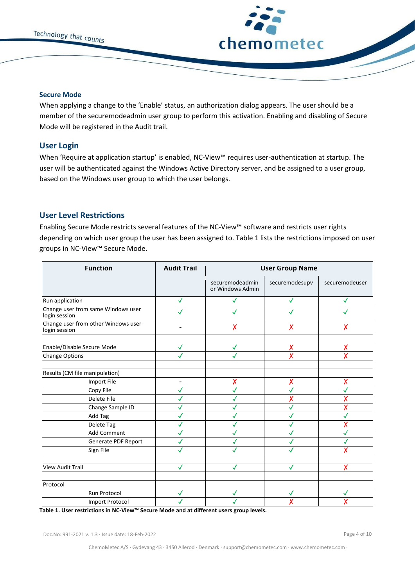



#### **Secure Mode**

When applying a change to the 'Enable' status, an authorization dialog appears. The user should be a member of the securemodeadmin user group to perform this activation. Enabling and disabling of Secure Mode will be registered in the Audit trail.

#### <span id="page-3-0"></span>**User Login**

When 'Require at application startup' is enabled, NC-View™ requires user-authentication at startup. The user will be authenticated against the Windows Active Directory server, and be assigned to a user group, based on the Windows user group to which the user belongs.

## <span id="page-3-1"></span>**User Level Restrictions**

Enabling Secure Mode restricts several features of the NC-View™ software and restricts user rights depending on which user group the user has been assigned to. Table 1 lists the restrictions imposed on user groups in NC-View™ Secure Mode.

| <b>Function</b>                                      | <b>Audit Trail</b> | <b>User Group Name</b>              |                         |                |
|------------------------------------------------------|--------------------|-------------------------------------|-------------------------|----------------|
|                                                      |                    | securemodeadmin<br>or Windows Admin | securemodesupv          | securemodeuser |
| Run application                                      | ✓                  |                                     | $\checkmark$            | √              |
| Change user from same Windows user<br>login session  |                    |                                     | ✓                       |                |
| Change user from other Windows user<br>login session |                    | X                                   | X                       | Х              |
| Enable/Disable Secure Mode                           | $\checkmark$       | $\checkmark$                        | Х                       | Х              |
| <b>Change Options</b>                                |                    |                                     | $\overline{\mathsf{x}}$ | Χ              |
| Results (CM file manipulation)                       |                    |                                     |                         |                |
| <b>Import File</b>                                   | $\blacksquare$     | X                                   | X                       | Х              |
| Copy File                                            | $\checkmark$       |                                     | $\checkmark$            | J              |
| Delete File                                          |                    |                                     | Х                       |                |
| Change Sample ID                                     |                    |                                     | $\checkmark$            | X              |
| Add Tag                                              | J                  |                                     | J                       | $\checkmark$   |
| Delete Tag                                           |                    |                                     | ✓                       |                |
| Add Comment                                          | $\checkmark$       |                                     | ✓                       |                |
| Generate PDF Report                                  |                    |                                     | ✓                       |                |
| Sign File                                            |                    |                                     |                         |                |
| <b>View Audit Trail</b>                              | ✓                  | ✓                                   | ✓                       |                |
| Protocol                                             |                    |                                     |                         |                |
| Run Protocol                                         | $\checkmark$       | ✓                                   | √                       | ✓              |
| <b>Import Protocol</b>                               |                    |                                     |                         |                |

**Table 1. User restrictions in NC-View™ Secure Mode and at different users group levels.**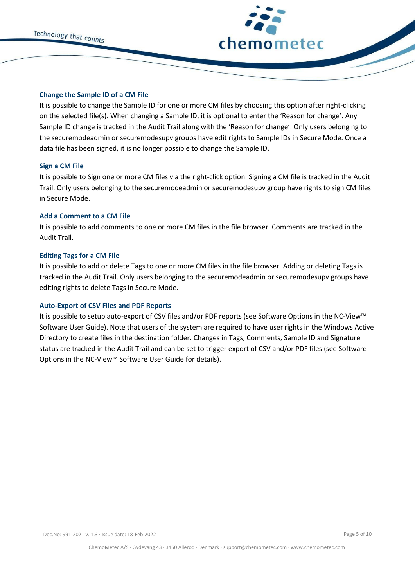

#### **Change the Sample ID of a CM File**

It is possible to change the Sample ID for one or more CM files by choosing this option after right-clicking on the selected file(s). When changing a Sample ID, it is optional to enter the 'Reason for change'. Any Sample ID change is tracked in the Audit Trail along with the 'Reason for change'. Only users belonging to the securemodeadmin or securemodesupv groups have edit rights to Sample IDs in Secure Mode. Once a data file has been signed, it is no longer possible to change the Sample ID.

#### **Sign a CM File**

It is possible to Sign one or more CM files via the right-click option. Signing a CM file is tracked in the Audit Trail. Only users belonging to the securemodeadmin or securemodesupv group have rights to sign CM files in Secure Mode.

#### **Add a Comment to a CM File**

It is possible to add comments to one or more CM files in the file browser. Comments are tracked in the Audit Trail.

#### **Editing Tags for a CM File**

It is possible to add or delete Tags to one or more CM files in the file browser. Adding or deleting Tags is tracked in the Audit Trail. Only users belonging to the securemodeadmin or securemodesupv groups have editing rights to delete Tags in Secure Mode.

#### **Auto-Export of CSV Files and PDF Reports**

It is possible to setup auto-export of CSV files and/or PDF reports (see Software Options in the NC-View™ Software User Guide). Note that users of the system are required to have user rights in the Windows Active Directory to create files in the destination folder. Changes in Tags, Comments, Sample ID and Signature status are tracked in the Audit Trail and can be set to trigger export of CSV and/or PDF files (see Software Options in the NC-View™ Software User Guide for details).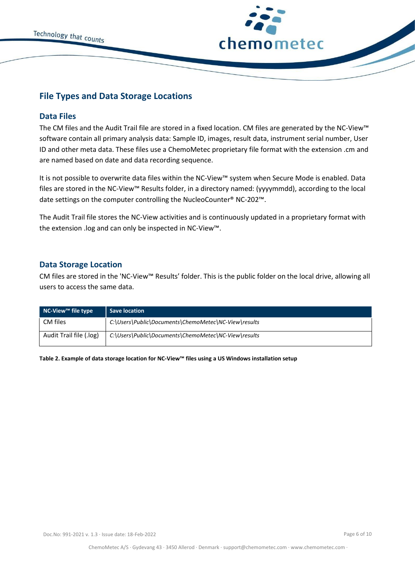



# <span id="page-5-0"></span>**File Types and Data Storage Locations**

## <span id="page-5-1"></span>**Data Files**

The CM files and the Audit Trail file are stored in a fixed location. CM files are generated by the NC-View™ software contain all primary analysis data: Sample ID, images, result data, instrument serial number, User ID and other meta data. These files use a ChemoMetec proprietary file format with the extension .cm and are named based on date and data recording sequence.

It is not possible to overwrite data files within the NC-View™ system when Secure Mode is enabled. Data files are stored in the NC-View™ Results folder, in a directory named: (yyyymmdd), according to the local date settings on the computer controlling the NucleoCounter® NC-202™.

The Audit Trail file stores the NC-View activities and is continuously updated in a proprietary format with the extension .log and can only be inspected in NC-View™.

## <span id="page-5-2"></span>**Data Storage Location**

CM files are stored in the 'NC-View™ Results' folder. This is the public folder on the local drive, allowing all users to access the same data.

| NC-View™ file type      | Save location                                        |
|-------------------------|------------------------------------------------------|
| CM files                | C:\Users\Public\Documents\ChemoMetec\NC-View\results |
| Audit Trail file (.log) | C:\Users\Public\Documents\ChemoMetec\NC-View\results |

**Table 2. Example of data storage location for NC-View™ files using a US Windows installation setup**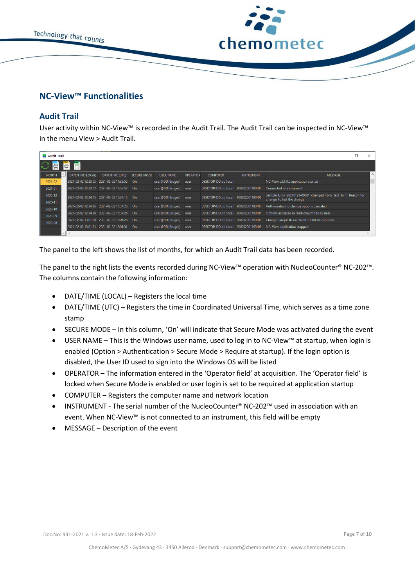



# <span id="page-6-0"></span>**NC-View™ Functionalities**

# <span id="page-6-1"></span>**Audit Trail**

User activity within NC-View™ is recorded in the Audit Trail. The Audit Trail can be inspected in NC-View™ in the menu View > Audit Trail.

| Audit Trail        |      |                          |                                            |                    |                  |                 |                     |                   |                                                                                                     |
|--------------------|------|--------------------------|--------------------------------------------|--------------------|------------------|-----------------|---------------------|-------------------|-----------------------------------------------------------------------------------------------------|
| 昌                  | 倡    | 晉                        |                                            |                    |                  |                 |                     |                   |                                                                                                     |
| <b>MONTH</b>       |      | <b>DATE/TIME (LOCAL)</b> | DATE/TIME (UTC)                            | <b>SECURE MODE</b> | <b>USER NAME</b> | <b>OPERATOR</b> | <b>COMPUTER</b>     | <b>INSTRUMENT</b> | $\sim$<br><b>MESSAGE</b>                                                                            |
| $2021 - 02$        |      | 2021-02-02 12:33:55      | 2021-02-02 11:33:55                        | On                 | user@DD(Bruger)  | user            | DESKTOP-DD.dd.local |                   | NC-View v2.1.0.5 application started                                                                |
| 2021-01            |      | 2021-02-02 12:33:57      | 2021-02-02 11:33:57                        | . On               | user@DD(Bruger)  | user            | DESKTOP-DD.dd.local | 900202001190105   | Connected to instrument                                                                             |
| 2020-12<br>2020-11 |      |                          | 2021-02-02 12:34:15 2021-02-02 11:34:15 On |                    | user@DD(Bruger)  | user            | DESKTOP-DD.dd.local | 900202001190105   | Sample ID on '20210121-00001' changed from 'test' to 't'. Reason for<br>change: to test the change. |
| 2020-10            |      | 2021-02-02 12:34:26      | 2021-02-02 11:34:26                        | On                 | user@DD(Bruger)  | user            | DESKTOP-DD.dd.local | 900202001190105   | Authorization to change options canceled                                                            |
| 2020-09            |      |                          | 2021-02-02 12:34:26 2021-02-02 11:34:26    | - On               | user@DD(Bruger)  | user            | DESKTOP-DD.dd.local | 900202001190105   | Options accessed in read-only mode by user                                                          |
| 2020-08            |      | 2021-02-02 13:01:28      | 2021-02-02 12:01:28                        | On                 | user@DD(Bruger)  | user            | DESKTOP-DD.dd.local | 900202001190105   | Change sample ID on 20210121-00001 canceled                                                         |
|                    |      | 2021-02-02 13:01:31      | 2021-02-02 12:01:31                        | On                 | user@DD(Bruger)  | user            | DESKTOP-DD.dd.local | 900202001190105   | NC-View application stopped                                                                         |
|                    | $-1$ |                          |                                            |                    |                  |                 |                     |                   |                                                                                                     |

The panel to the left shows the list of months, for which an Audit Trail data has been recorded.

The panel to the right lists the events recorded during NC-View™ operation with NucleoCounter® NC-202™. The columns contain the following information:

- DATE/TIME (LOCAL) Registers the local time
- DATE/TIME (UTC) Registers the time in Coordinated Universal Time, which serves as a time zone stamp
- SECURE MODE In this column, 'On' will indicate that Secure Mode was activated during the event
- USER NAME This is the Windows user name, used to log in to NC-View™ at startup, when login is enabled (Option > Authentication > Secure Mode > Require at startup). If the login option is disabled, the User ID used to sign into the Windows OS will be listed
- OPERATOR The information entered in the 'Operator field' at acquisition. The 'Operator field' is locked when Secure Mode is enabled or user login is set to be required at application startup
- COMPUTER Registers the computer name and network location
- INSTRUMENT The serial number of the NucleoCounter® NC-202™ used in association with an event. When NC-View™ is not connected to an instrument, this field will be empty
- MESSAGE Description of the event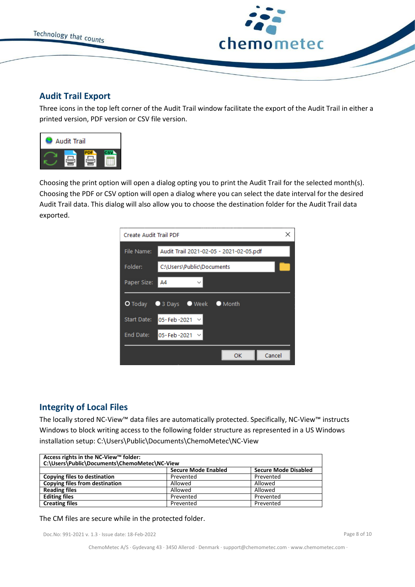

# <span id="page-7-0"></span>**Audit Trail Export**

Three icons in the top left corner of the Audit Trail window facilitate the export of the Audit Trail in either a printed version, PDF version or CSV file version.



Choosing the print option will open a dialog opting you to print the Audit Trail for the selected month(s). Choosing the PDF or CSV option will open a dialog where you can select the date interval for the desired Audit Trail data. This dialog will also allow you to choose the destination folder for the Audit Trail data exported.

| Create Audit Trail PDF | ×                                                |
|------------------------|--------------------------------------------------|
| File Name:             | Audit Trail 2021-02-05 - 2021-02-05.pdf          |
| Folder:                | C:\Users\Public\Documents                        |
| Paper Size:            | A4                                               |
|                        | <b>O</b> Today ● 3 Days ● Week<br><b>O</b> Month |
| <b>Start Date:</b>     | 05-Feb-2021 $\sim$                               |
| End Date:              | 05-Feb-2021 $\vee$                               |
|                        | Cancel<br>OK                                     |

# <span id="page-7-1"></span>**Integrity of Local Files**

The locally stored NC-View™ data files are automatically protected. Specifically, NC-View™ instructs Windows to block writing access to the following folder structure as represented in a US Windows installation setup: C:\Users\Public\Documents\ChemoMetec\NC-View

| Access rights in the NC-View™ folder:<br>C:\Users\Public\Documents\ChemoMetec\NC-View |                            |                             |  |  |
|---------------------------------------------------------------------------------------|----------------------------|-----------------------------|--|--|
|                                                                                       | <b>Secure Mode Enabled</b> | <b>Secure Mode Disabled</b> |  |  |
| Copying files to destination                                                          | Prevented                  | Prevented                   |  |  |
| Copying files from destination                                                        | Allowed                    | Allowed                     |  |  |
| <b>Reading files</b>                                                                  | Allowed                    | Allowed                     |  |  |
| <b>Editing files</b>                                                                  | Prevented                  | Prevented                   |  |  |
| <b>Creating files</b>                                                                 | Prevented                  | Prevented                   |  |  |

#### The CM files are secure while in the protected folder.

Doc.No: 991-2021 v. 1.3 · Issue date: 18-Feb-2022 Page 8 of 10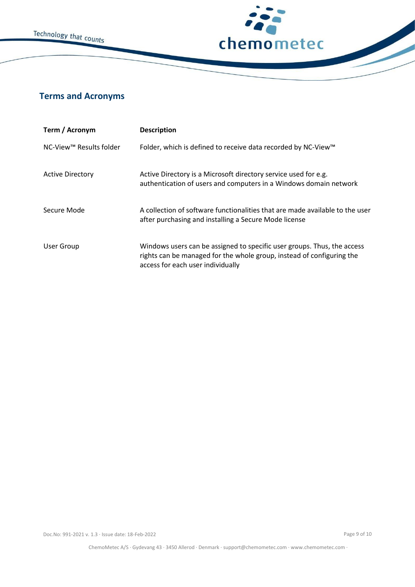



# <span id="page-8-0"></span>**Terms and Acronyms**

| Term / Acronym          | <b>Description</b>                                                                                                                                                                    |
|-------------------------|---------------------------------------------------------------------------------------------------------------------------------------------------------------------------------------|
| NC-View™ Results folder | Folder, which is defined to receive data recorded by NC-View™                                                                                                                         |
| <b>Active Directory</b> | Active Directory is a Microsoft directory service used for e.g.<br>authentication of users and computers in a Windows domain network                                                  |
| Secure Mode             | A collection of software functionalities that are made available to the user<br>after purchasing and installing a Secure Mode license                                                 |
| <b>User Group</b>       | Windows users can be assigned to specific user groups. Thus, the access<br>rights can be managed for the whole group, instead of configuring the<br>access for each user individually |